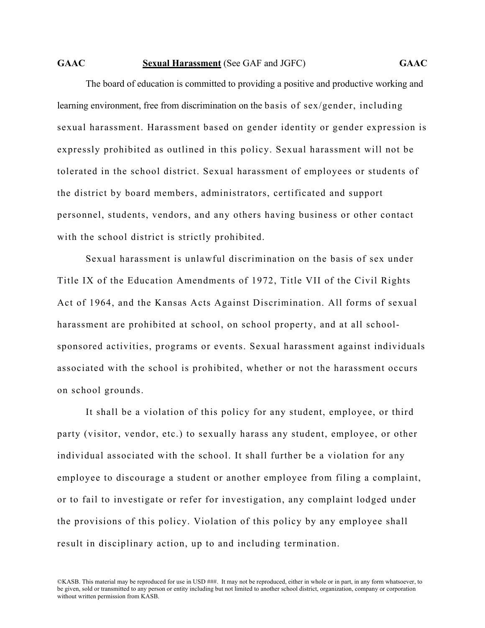## **GAAC Sexual Harassment** (See GAF and JGFC) **GAAC**

The board of education is committed to providing a positive and productive working and learning environment, free from discrimination on the basis of sex/gender, including sexual harassment. Harassment based on gender identity or gender expression is expressly prohibited as outlined in this policy. Sexual harassment will not be tolerated in the school district. Sexual harassment of employees or students of the district by board members, administrators, certificated and support personnel, students, vendors, and any others having business or other contact with the school district is strictly prohibited.

Sexual harassment is unlawful discrimination on the basis of sex under Title IX of the Education Amendments of 1972, Title VII of the Civil Rights Act of 1964, and the Kansas Acts Against Discrimination. All forms of sexual harassment are prohibited at school, on school property, and at all schoolsponsored activities, programs or events. Sexual harassment against individuals associated with the school is prohibited, whether or not the harassment occurs on school grounds.

It shall be a violation of this policy for any student, employee, or third party (visitor, vendor, etc.) to sexually harass any student, employee, or other individual associated with the school. It shall further be a violation for any employee to discourage a student or another employee from filing a complaint, or to fail to investigate or refer for investigation, any complaint lodged under the provisions of this policy. Violation of this policy by any employee shall result in disciplinary action, up to and including termination.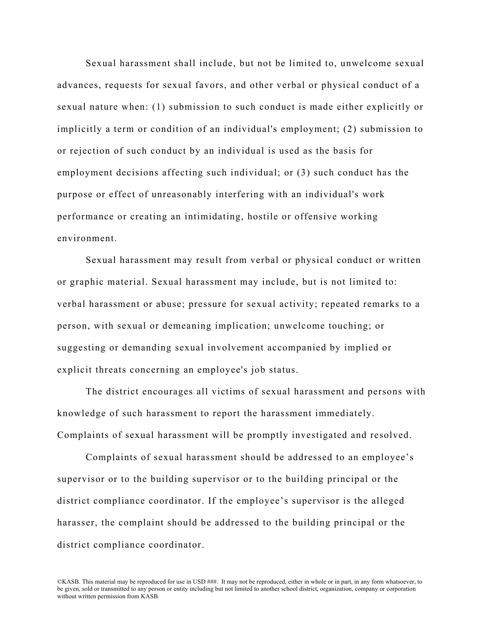Sexual harassment shall include, but not be limited to, unwelcome sexual advances, requests for sexual favors, and other verbal or physical conduct of a sexual nature when: (1) submission to such conduct is made either explicitly or implicitly a term or condition of an individual's employment; (2) submission to or rejection of such conduct by an individual is used as the basis for employment decisions affecting such individual; or (3) such conduct has the purpose or effect of unreasonably interfering with an individual's work performance or creating an intimidating, hostile or offensive working environment.

Sexual harassment may result from verbal or physical conduct or written or graphic material. Sexual harassment may include, but is not limited to: verbal harassment or abuse; pressure for sexual activity; repeated remarks to a person, with sexual or demeaning implication; unwelcome touching; or suggesting or demanding sexual involvement accompanied by implied or explicit threats concerning an employee's job status.

The district encourages all victims of sexual harassment and persons with knowledge of such harassment to report the harassment immediately. Complaints of sexual harassment will be promptly investigated and resolved.

Complaints of sexual harassment should be addressed to an employee's supervisor or to the building supervisor or to the building principal or the district compliance coordinator. If the employee's supervisor is the alleged harasser, the complaint should be addressed to the building principal or the district compliance coordinator.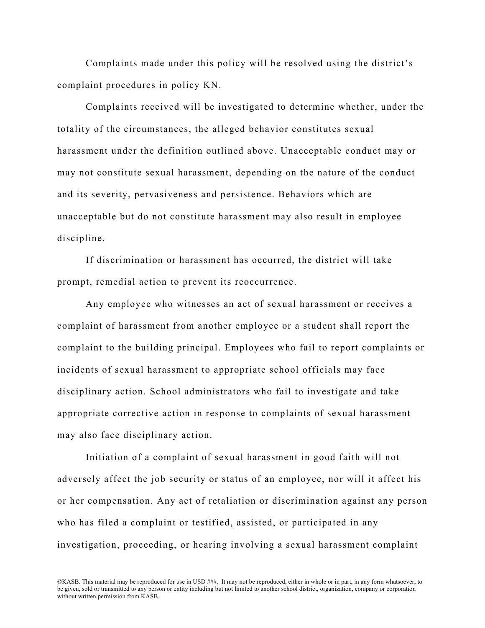Complaints made under this policy will be resolved using the district's complaint procedures in policy KN.

Complaints received will be investigated to determine whether, under the totality of the circumstances, the alleged behavior constitutes sexual harassment under the definition outlined above. Unacceptable conduct may or may not constitute sexual harassment, depending on the nature of the conduct and its severity, pervasiveness and persistence. Behaviors which are unacceptable but do not constitute harassment may also result in employee discipline.

If discrimination or harassment has occurred, the district will take prompt, remedial action to prevent its reoccurrence.

Any employee who witnesses an act of sexual harassment or receives a complaint of harassment from another employee or a student shall report the complaint to the building principal. Employees who fail to report complaints or incidents of sexual harassment to appropriate school officials may face disciplinary action. School administrators who fail to investigate and take appropriate corrective action in response to complaints of sexual harassment may also face disciplinary action.

Initiation of a complaint of sexual harassment in good faith will not adversely affect the job security or status of an employee, nor will it affect his or her compensation. Any act of retaliation or discrimination against any person who has filed a complaint or testified, assisted, or participated in any investigation, proceeding, or hearing involving a sexual harassment complaint